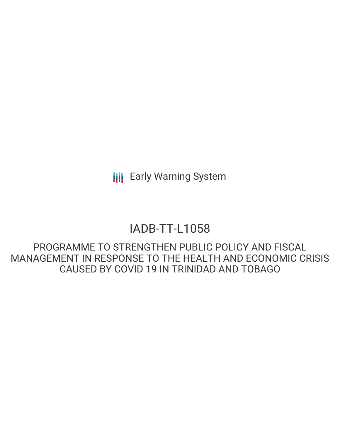**III** Early Warning System

# IADB-TT-L1058

PROGRAMME TO STRENGTHEN PUBLIC POLICY AND FISCAL MANAGEMENT IN RESPONSE TO THE HEALTH AND ECONOMIC CRISIS CAUSED BY COVID 19 IN TRINIDAD AND TOBAGO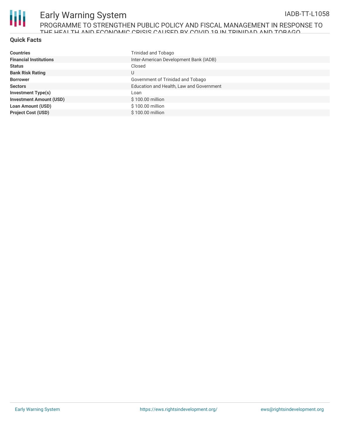

# Early Warning System PROGRAMME TO STRENGTHEN PUBLIC POLICY AND FISCAL MANAGEMENT IN RESPONSE TO THE HEALTH AND ECONOMIC CRISIS CAUSED BY COVID 10 IN TRINIDAD AND TOBAGO.

#### **Quick Facts**

| <b>Countries</b>               | Trinidad and Tobago                      |
|--------------------------------|------------------------------------------|
| <b>Financial Institutions</b>  | Inter-American Development Bank (IADB)   |
| <b>Status</b>                  | Closed                                   |
| <b>Bank Risk Rating</b>        | U                                        |
| <b>Borrower</b>                | Government of Trinidad and Tobago        |
| <b>Sectors</b>                 | Education and Health, Law and Government |
| <b>Investment Type(s)</b>      | Loan                                     |
| <b>Investment Amount (USD)</b> | \$100.00 million                         |
| <b>Loan Amount (USD)</b>       | \$100.00 million                         |
| <b>Project Cost (USD)</b>      | \$100.00 million                         |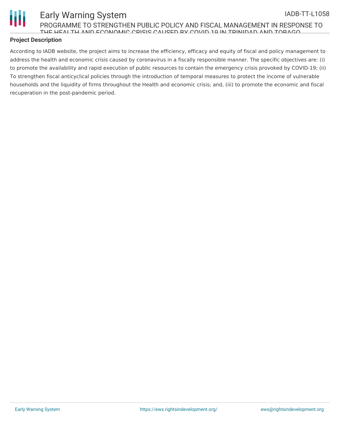

#### Early Warning System PROGRAMME TO STRENGTHEN PUBLIC POLICY AND FISCAL MANAGEMENT IN RESPONSE TO THE HEALTH AND ECONOMIC CRISIS CAUSED BY COVID 19 IN TRINIDAD AND TOBAGO IADB-TT-L1058

### **Project Description**

According to IADB website, the project aims to increase the efficiency, efficacy and equity of fiscal and policy management to address the health and economic crisis caused by coronavirus in a fiscally responsible manner. The specific objectives are: (i) to promote the availability and rapid execution of public resources to contain the emergency crisis provoked by COVID-19; (ii) To strengthen fiscal anticyclical policies through the introduction of temporal measures to protect the income of vulnerable households and the liquidity of firms throughout the Health and economic crisis; and, (iii) to promote the economic and fiscal recuperation in the post-pandemic period.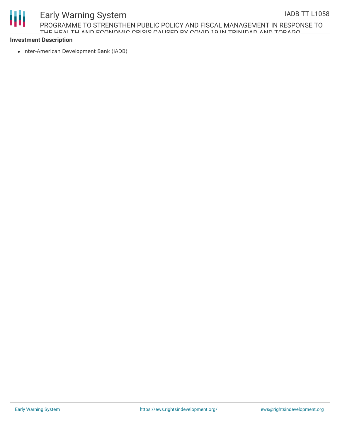# Ш

# Early Warning System PROGRAMME TO STRENGTHEN PUBLIC POLICY AND FISCAL MANAGEMENT IN RESPONSE TO THE HEALTH AND ECONOMIC CRISIS CAUSED BY COVID 19 IN TRINIDAD AND TOBAGO

# **Investment Description**

• Inter-American Development Bank (IADB)